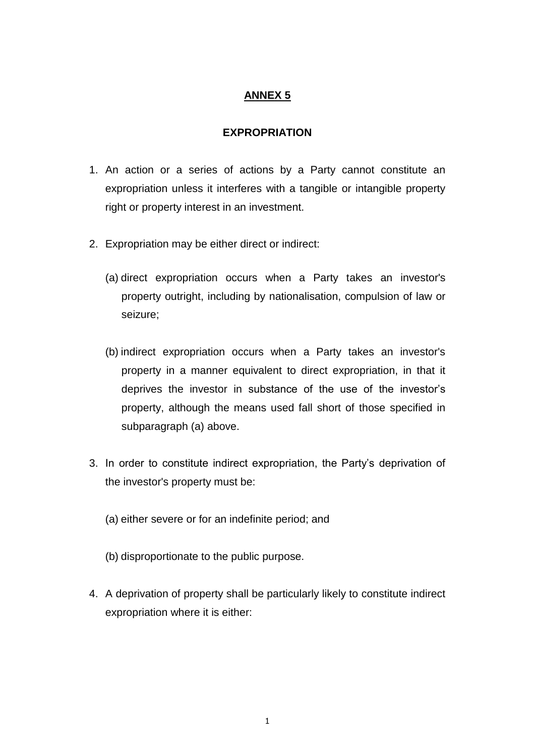## **ANNEX 5**

## **EXPROPRIATION**

- 1. An action or a series of actions by a Party cannot constitute an expropriation unless it interferes with a tangible or intangible property right or property interest in an investment.
- 2. Expropriation may be either direct or indirect:
	- (a) direct expropriation occurs when a Party takes an investor's property outright, including by nationalisation, compulsion of law or seizure;
	- (b) indirect expropriation occurs when a Party takes an investor's property in a manner equivalent to direct expropriation, in that it deprives the investor in substance of the use of the investor's property, although the means used fall short of those specified in subparagraph (a) above.
- 3. In order to constitute indirect expropriation, the Party's deprivation of the investor's property must be:
	- (a) either severe or for an indefinite period; and
	- (b) disproportionate to the public purpose.
- 4. A deprivation of property shall be particularly likely to constitute indirect expropriation where it is either: